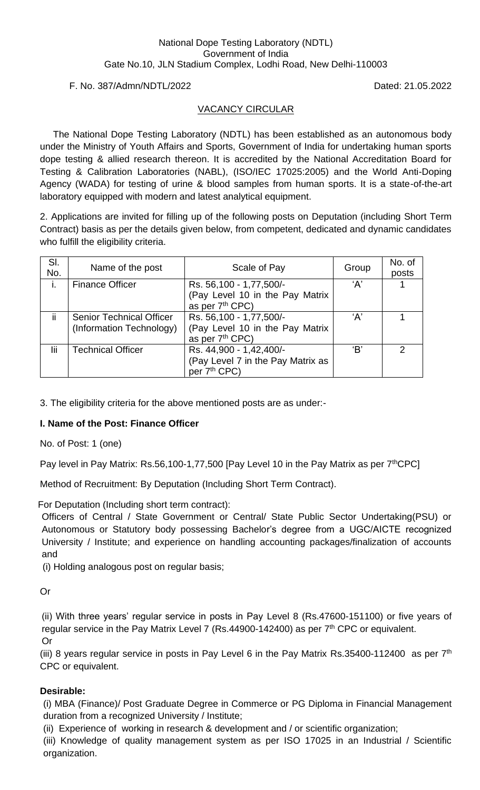### F. No. 387/Admn/NDTL/2022 Dated: 21.05.2022

### VACANCY CIRCULAR

 The National Dope Testing Laboratory (NDTL) has been established as an autonomous body under the Ministry of Youth Affairs and Sports, Government of India for undertaking human sports dope testing & allied research thereon. It is accredited by the National Accreditation Board for Testing & Calibration Laboratories (NABL), (ISO/IEC 17025:2005) and the World Anti-Doping Agency (WADA) for testing of urine & blood samples from human sports. It is a state-of-the-art laboratory equipped with modern and latest analytical equipment.

2. Applications are invited for filling up of the following posts on Deputation (including Short Term Contract) basis as per the details given below, from competent, dedicated and dynamic candidates who fulfill the eligibility criteria.

| SI.<br>No. | Name of the post                | Scale of Pay                                                   | Group | No. of<br>posts |
|------------|---------------------------------|----------------------------------------------------------------|-------|-----------------|
|            | <b>Finance Officer</b>          | Rs. 56,100 - 1,77,500/-<br>(Pay Level 10 in the Pay Matrix     | A'    |                 |
|            |                                 | as per 7 <sup>th</sup> CPC)                                    |       |                 |
| ii.        | <b>Senior Technical Officer</b> | Rs. 56,100 - 1,77,500/-                                        | ʻA'   |                 |
|            | (Information Technology)        | (Pay Level 10 in the Pay Matrix<br>as per 7 <sup>th</sup> CPC) |       |                 |
| lii        | <b>Technical Officer</b>        | Rs. 44,900 - 1,42,400/-                                        | 'B'   | $\mathcal{P}$   |
|            |                                 | (Pay Level 7 in the Pay Matrix as<br>per 7 <sup>th</sup> CPC)  |       |                 |

3. The eligibility criteria for the above mentioned posts are as under:-

### **I. Name of the Post: Finance Officer**

No. of Post: 1 (one)

Pay level in Pay Matrix: Rs.56,100-1,77,500 [Pay Level 10 in the Pay Matrix as per  $7<sup>th</sup>$ CPC]

Method of Recruitment: By Deputation (Including Short Term Contract).

For Deputation (Including short term contract):

Officers of Central / State Government or Central/ State Public Sector Undertaking(PSU) or Autonomous or Statutory body possessing Bachelor's degree from a UGC/AICTE recognized University / Institute; and experience on handling accounting packages/finalization of accounts and

(i) Holding analogous post on regular basis;

Or

(ii) With three years' regular service in posts in Pay Level 8 (Rs.47600-151100) or five years of regular service in the Pay Matrix Level 7 (Rs.44900-142400) as per  $7<sup>th</sup>$  CPC or equivalent. Or

(iii) 8 years regular service in posts in Pay Level 6 in the Pay Matrix Rs.35400-112400 as per  $7<sup>th</sup>$ CPC or equivalent.

### **Desirable:**

(i) MBA (Finance)/ Post Graduate Degree in Commerce or PG Diploma in Financial Management duration from a recognized University / Institute;

(ii) Experience of working in research & development and / or scientific organization;

(iii) Knowledge of quality management system as per ISO 17025 in an Industrial / Scientific organization.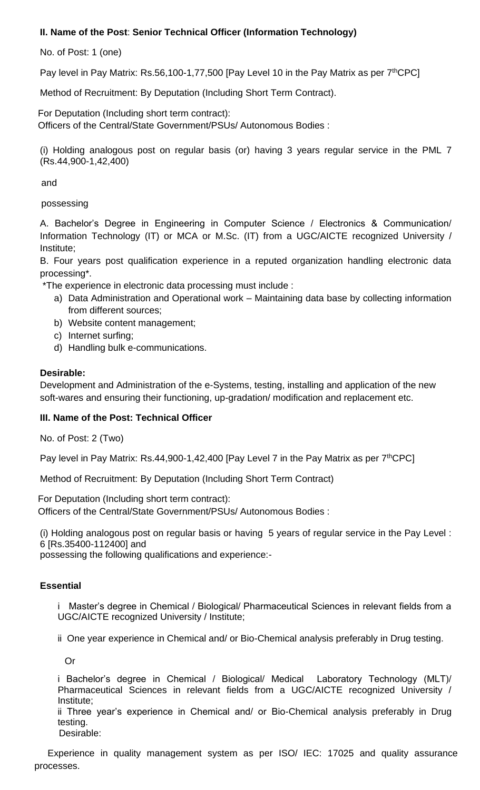# **II. Name of the Post**: **Senior Technical Officer (Information Technology)**

No. of Post: 1 (one)

Pay level in Pay Matrix: Rs.56,100-1,77,500 [Pay Level 10 in the Pay Matrix as per 7<sup>th</sup>CPC]

Method of Recruitment: By Deputation (Including Short Term Contract).

For Deputation (Including short term contract): Officers of the Central/State Government/PSUs/ Autonomous Bodies :

(i) Holding analogous post on regular basis (or) having 3 years regular service in the PML 7 (Rs.44,900-1,42,400)

and

possessing

A. Bachelor's Degree in Engineering in Computer Science / Electronics & Communication/ Information Technology (IT) or MCA or M.Sc. (IT) from a UGC/AICTE recognized University / Institute;

B. Four years post qualification experience in a reputed organization handling electronic data processing\*.

\*The experience in electronic data processing must include :

- a) Data Administration and Operational work Maintaining data base by collecting information from different sources;
- b) Website content management;
- c) Internet surfing;
- d) Handling bulk e-communications.

#### **Desirable:**

Development and Administration of the e-Systems, testing, installing and application of the new soft-wares and ensuring their functioning, up-gradation/ modification and replacement etc.

### **III. Name of the Post: Technical Officer**

No. of Post: 2 (Two)

Pay level in Pay Matrix: Rs.44,900-1,42,400 [Pay Level 7 in the Pay Matrix as per 7<sup>th</sup>CPC]

Method of Recruitment: By Deputation (Including Short Term Contract)

For Deputation (Including short term contract): Officers of the Central/State Government/PSUs/ Autonomous Bodies :

(i) Holding analogous post on regular basis or having 5 years of regular service in the Pay Level : 6 [Rs.35400-112400] and

possessing the following qualifications and experience:-

### **Essential**

i Master's degree in Chemical / Biological/ Pharmaceutical Sciences in relevant fields from a UGC/AICTE recognized University / Institute;

ii One year experience in Chemical and/ or Bio-Chemical analysis preferably in Drug testing.

Or

i Bachelor's degree in Chemical / Biological/ Medical Laboratory Technology (MLT)/ Pharmaceutical Sciences in relevant fields from a UGC/AICTE recognized University / Institute;

ii Three year's experience in Chemical and/ or Bio-Chemical analysis preferably in Drug testing.

Desirable:

 Experience in quality management system as per ISO/ IEC: 17025 and quality assurance processes.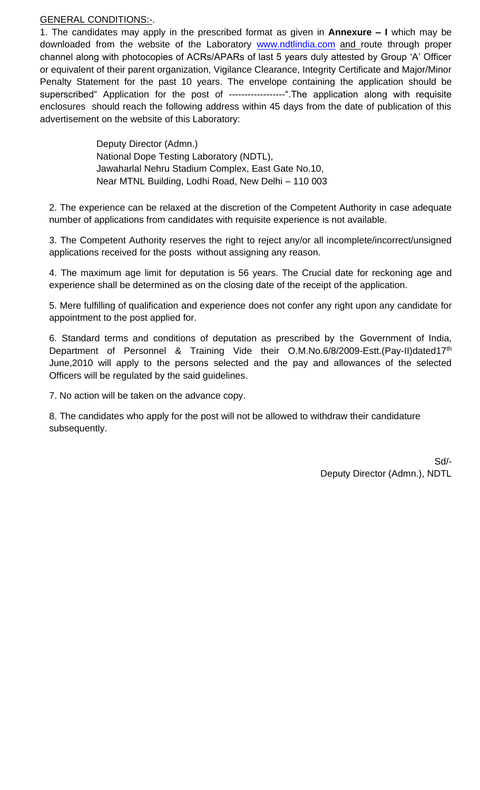#### GENERAL CONDITIONS:-.

1. The candidates may apply in the prescribed format as given in **Annexure – I** which may be downloaded from the website of the Laboratory [www.ndtlindia.com](http://www.ndtlindia.com/) and route through proper channel along with photocopies of ACRs/APARs of last 5 years duly attested by Group 'A' Officer or equivalent of their parent organization, Vigilance Clearance, Integrity Certificate and Major/Minor Penalty Statement for the past 10 years. The envelope containing the application should be superscribed" Application for the post of ------------------".The application along with requisite enclosures should reach the following address within 45 days from the date of publication of this advertisement on the website of this Laboratory:

> Deputy Director (Admn.) National Dope Testing Laboratory (NDTL), Jawaharlal Nehru Stadium Complex, East Gate No.10, Near MTNL Building, Lodhi Road, New Delhi – 110 003

2. The experience can be relaxed at the discretion of the Competent Authority in case adequate number of applications from candidates with requisite experience is not available.

3. The Competent Authority reserves the right to reject any/or all incomplete/incorrect/unsigned applications received for the posts without assigning any reason.

4. The maximum age limit for deputation is 56 years. The Crucial date for reckoning age and experience shall be determined as on the closing date of the receipt of the application.

5. Mere fulfilling of qualification and experience does not confer any right upon any candidate for appointment to the post applied for.

6. Standard terms and conditions of deputation as prescribed by the Government of India, Department of Personnel & Training Vide their O.M.No.6/8/2009-Estt.(Pay-II)dated17<sup>th</sup> June,2010 will apply to the persons selected and the pay and allowances of the selected Officers will be regulated by the said guidelines.

7. No action will be taken on the advance copy.

8. The candidates who apply for the post will not be allowed to withdraw their candidature subsequently.

> Sd/- Deputy Director (Admn.), NDTL